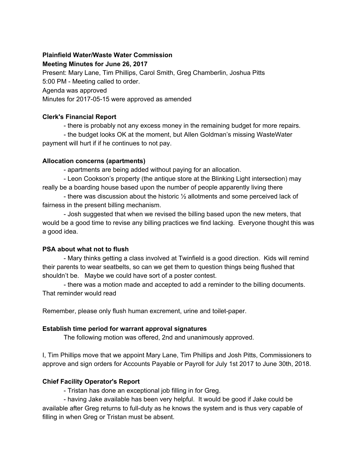## **Plainfield Water/Waste Water Commission**

#### **Meeting Minutes for June 26, 2017**

Present: Mary Lane, Tim Phillips, Carol Smith, Greg Chamberlin, Joshua Pitts

5:00 PM - Meeting called to order.

Agenda was approved

Minutes for 2017-05-15 were approved as amended

#### **Clerk's Financial Report**

- there is probably not any excess money in the remaining budget for more repairs.

- the budget looks OK at the moment, but Allen Goldman's missing WasteWater payment will hurt if if he continues to not pay.

## **Allocation concerns (apartments)**

- apartments are being added without paying for an allocation.

- Leon Cookson's property (the antique store at the Blinking Light intersection) may really be a boarding house based upon the number of people apparently living there

- there was discussion about the historic  $\frac{1}{2}$  allotments and some perceived lack of fairness in the present billing mechanism.

- Josh suggested that when we revised the billing based upon the new meters, that would be a good time to revise any billing practices we find lacking. Everyone thought this was a good idea.

# **PSA about what not to flush**

- Mary thinks getting a class involved at Twinfield is a good direction. Kids will remind their parents to wear seatbelts, so can we get them to question things being flushed that shouldn't be. Maybe we could have sort of a poster contest.

- there was a motion made and accepted to add a reminder to the billing documents. That reminder would read

Remember, please only flush human excrement, urine and toilet-paper.

# **Establish time period for warrant approval signatures**

The following motion was offered, 2nd and unanimously approved.

I, Tim Phillips move that we appoint Mary Lane, Tim Phillips and Josh Pitts, Commissioners to approve and sign orders for Accounts Payable or Payroll for July 1st 2017 to June 30th, 2018.

# **Chief Facility Operator's Report**

- Tristan has done an exceptional job filling in for Greg.

- having Jake available has been very helpful. It would be good if Jake could be available after Greg returns to full-duty as he knows the system and is thus very capable of filling in when Greg or Tristan must be absent.